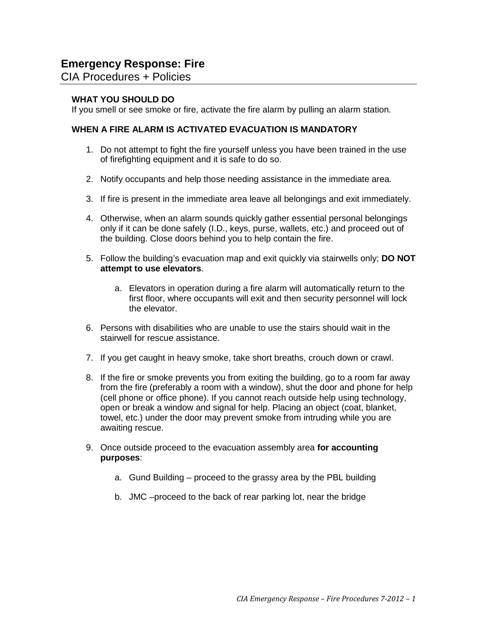CIA Procedures + Policies

# **WHAT YOU SHOULD DO**

If you smell or see smoke or fire, activate the fire alarm by pulling an alarm station.

## **WHEN A FIRE ALARM IS ACTIVATED EVACUATION IS MANDATORY**

- 1. Do not attempt to fight the fire yourself unless you have been trained in the use of firefighting equipment and it is safe to do so.
- 2. Notify occupants and help those needing assistance in the immediate area.
- 3. If fire is present in the immediate area leave all belongings and exit immediately.
- 4. Otherwise, when an alarm sounds quickly gather essential personal belongings only if it can be done safely (I.D., keys, purse, wallets, etc.) and proceed out of the building. Close doors behind you to help contain the fire.
- 5. Follow the building's evacuation map and exit quickly via stairwells only; **DO NOT attempt to use elevators**.
	- a. Elevators in operation during a fire alarm will automatically return to the first floor, where occupants will exit and then security personnel will lock the elevator.
- 6. Persons with disabilities who are unable to use the stairs should wait in the stairwell for rescue assistance.
- 7. If you get caught in heavy smoke, take short breaths, crouch down or crawl.
- 8. If the fire or smoke prevents you from exiting the building, go to a room far away from the fire (preferably a room with a window), shut the door and phone for help (cell phone or office phone). If you cannot reach outside help using technology, open or break a window and signal for help. Placing an object (coat, blanket, towel, etc.) under the door may prevent smoke from intruding while you are awaiting rescue.
- 9. Once outside proceed to the evacuation assembly area **for accounting purposes**:
	- a. Gund Building proceed to the grassy area by the PBL building
	- b. JMC –proceed to the back of rear parking lot, near the bridge